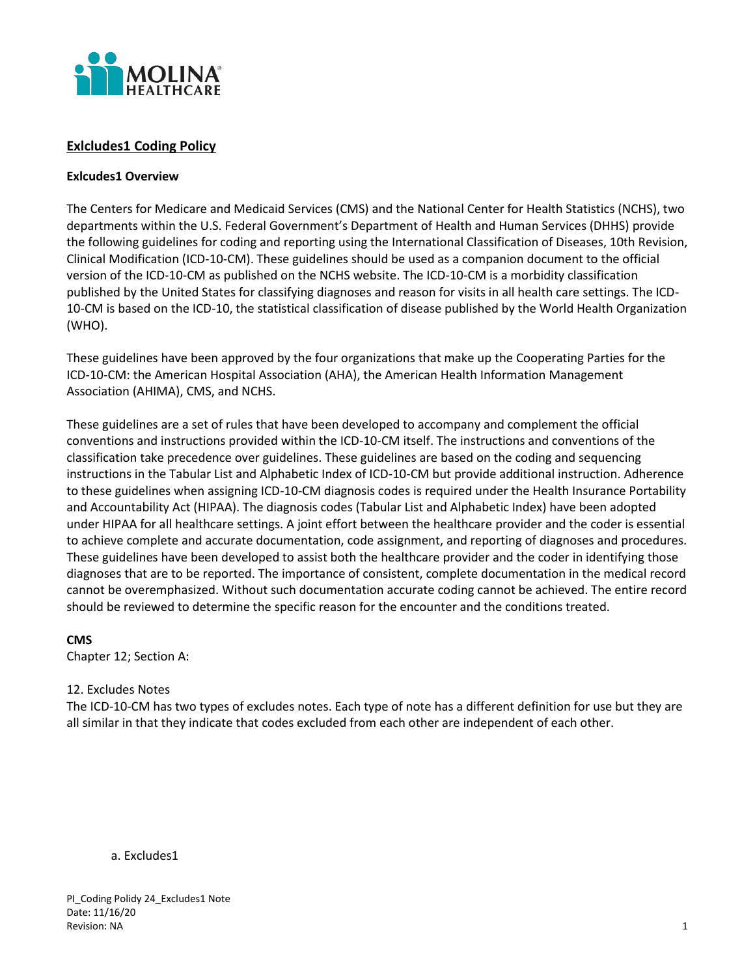

# **Exlcludes1 Coding Policy**

## **Exlcudes1 Overview**

The Centers for Medicare and Medicaid Services (CMS) and the National Center for Health Statistics (NCHS), two departments within the U.S. Federal Government's Department of Health and Human Services (DHHS) provide the following guidelines for coding and reporting using the International Classification of Diseases, 10th Revision, Clinical Modification (ICD-10-CM). These guidelines should be used as a companion document to the official version of the ICD-10-CM as published on the NCHS website. The ICD-10-CM is a morbidity classification published by the United States for classifying diagnoses and reason for visits in all health care settings. The ICD-10-CM is based on the ICD-10, the statistical classification of disease published by the World Health Organization (WHO).

These guidelines have been approved by the four organizations that make up the Cooperating Parties for the ICD-10-CM: the American Hospital Association (AHA), the American Health Information Management Association (AHIMA), CMS, and NCHS.

These guidelines are a set of rules that have been developed to accompany and complement the official conventions and instructions provided within the ICD-10-CM itself. The instructions and conventions of the classification take precedence over guidelines. These guidelines are based on the coding and sequencing instructions in the Tabular List and Alphabetic Index of ICD-10-CM but provide additional instruction. Adherence to these guidelines when assigning ICD-10-CM diagnosis codes is required under the Health Insurance Portability and Accountability Act (HIPAA). The diagnosis codes (Tabular List and Alphabetic Index) have been adopted under HIPAA for all healthcare settings. A joint effort between the healthcare provider and the coder is essential to achieve complete and accurate documentation, code assignment, and reporting of diagnoses and procedures. These guidelines have been developed to assist both the healthcare provider and the coder in identifying those diagnoses that are to be reported. The importance of consistent, complete documentation in the medical record cannot be overemphasized. Without such documentation accurate coding cannot be achieved. The entire record should be reviewed to determine the specific reason for the encounter and the conditions treated.

## **CMS**

Chapter 12; Section A:

## 12. Excludes Notes

The ICD-10-CM has two types of excludes notes. Each type of note has a different definition for use but they are all similar in that they indicate that codes excluded from each other are independent of each other.

#### a. Excludes1